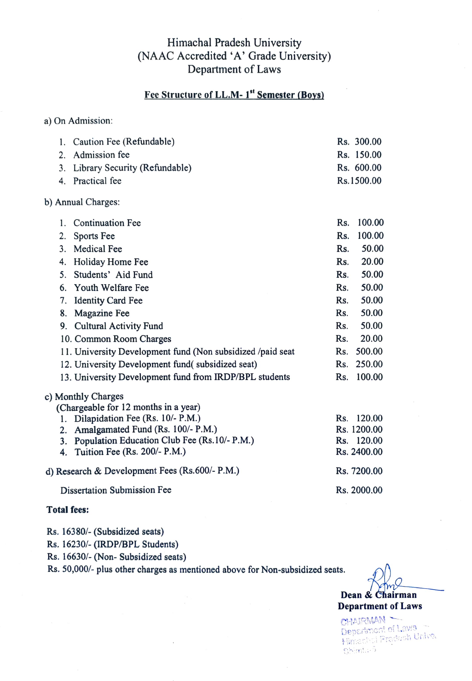# Himachal Pradesh University (NAAC Accredited 'A' Grade University) Department of Laws

# Fee Structure of LL.M-1<sup>st</sup> Semester (Boys)

a) On Admission:

| 1. Caution Fee (Refundable)      | Rs. 300.00 |
|----------------------------------|------------|
| 2. Admission fee                 | Rs. 150.00 |
| 3. Library Security (Refundable) | Rs. 600.00 |
| 4. Practical fee                 | Rs.1500.00 |
| b) Annual Charges:               |            |

|                                      | <b>Continuation Fee</b>                                     | Rs. | 100.00 |  |
|--------------------------------------|-------------------------------------------------------------|-----|--------|--|
| 2.                                   | Sports Fee                                                  | Rs. | 100.00 |  |
| 3.                                   | Medical Fee                                                 | Rs. | 50.00  |  |
| 4.                                   | Holiday Home Fee                                            | Rs. | 20.00  |  |
|                                      | 5. Students' Aid Fund                                       | Rs. | 50.00  |  |
|                                      | 6. Youth Welfare Fee                                        | Rs. | 50.00  |  |
| 7.                                   | <b>Identity Card Fee</b>                                    | Rs. | 50.00  |  |
| 8.                                   | <b>Magazine Fee</b>                                         | Rs. | 50.00  |  |
|                                      | 9. Cultural Activity Fund                                   | Rs. | 50.00  |  |
|                                      | 10. Common Room Charges                                     | Rs. | 20.00  |  |
|                                      | 11. University Development fund (Non subsidized /paid seat) | Rs. | 500.00 |  |
|                                      | 12. University Development fund(subsidized seat)            | Rs. | 250.00 |  |
|                                      | 13. University Development fund from IRDP/BPL students      | Rs. | 100.00 |  |
|                                      | c) Monthly Charges                                          |     |        |  |
| (Chargeable for 12 months in a year) |                                                             |     |        |  |

| 1. Dilapidation Fee (Rs. 10/- P.M.)             | Rs. 120.00  |
|-------------------------------------------------|-------------|
| 2. Amalgamated Fund (Rs. 100/- P.M.)            | Rs. 1200.00 |
| 3. Population Education Club Fee (Rs.10/- P.M.) | Rs. 120.00  |
| 4. Tuition Fee (Rs. 200/- P.M.)                 | Rs. 2400.00 |
| d) Research & Development Fees (Rs.600/- P.M.)  | Rs. 7200.00 |
| Dissertation Submission Fee                     | Rs. 2000.00 |

#### Total fees:

Rs. 16380/- (Subsidized seats)

Rs. 16230/- (IRDP/BPL Students)

Rs. 16630/-(Non- Subsidized seats)

Rs. 50,000/- plus other charges as mentioned above for Non-subsidized seats.

Dean& Chairman Department of Laws

CHAIRMAN-Department of Laws<br>Himachal Pradash Univer Shimin-5